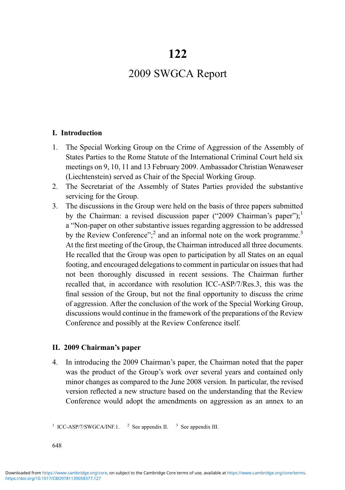# 2009 SWGCA Report

#### I. Introduction

- 1. The Special Working Group on the Crime of Aggression of the Assembly of States Parties to the Rome Statute of the International Criminal Court held six meetings on 9, 10, 11 and 13 February 2009. Ambassador Christian Wenaweser (Liechtenstein) served as Chair of the Special Working Group.
- 2. The Secretariat of the Assembly of States Parties provided the substantive servicing for the Group.
- 3. The discussions in the Group were held on the basis of three papers submitted by the Chairman: a revised discussion paper ("2009 Chairman's paper");<sup>1</sup> a "Non-paper on other substantive issues regarding aggression to be addressed by the Review Conference";<sup>2</sup> and an informal note on the work programme.<sup>3</sup> At the first meeting of the Group, the Chairman introduced all three documents. He recalled that the Group was open to participation by all States on an equal footing, and encouraged delegations to comment in particular on issues that had not been thoroughly discussed in recent sessions. The Chairman further recalled that, in accordance with resolution ICC-ASP/7/Res.3, this was the final session of the Group, but not the final opportunity to discuss the crime of aggression. After the conclusion of the work of the Special Working Group, discussions would continue in the framework of the preparations of the Review Conference and possibly at the Review Conference itself.

#### II. 2009 Chairman's paper

4. In introducing the 2009 Chairman's paper, the Chairman noted that the paper was the product of the Group's work over several years and contained only minor changes as compared to the June 2008 version. In particular, the revised version reflected a new structure based on the understanding that the Review Conference would adopt the amendments on aggression as an annex to an

648

<sup>&</sup>lt;sup>1</sup> ICC-ASP/7/SWGCA/INF.1. <sup>2</sup> See appendix II. <sup>3</sup> See appendix III.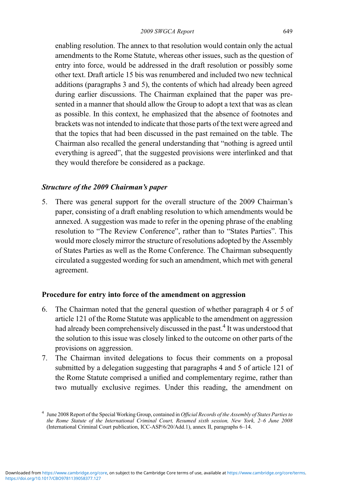enabling resolution. The annex to that resolution would contain only the actual amendments to the Rome Statute, whereas other issues, such as the question of entry into force, would be addressed in the draft resolution or possibly some other text. Draft article 15 bis was renumbered and included two new technical additions (paragraphs 3 and 5), the contents of which had already been agreed during earlier discussions. The Chairman explained that the paper was presented in a manner that should allow the Group to adopt a text that was as clean as possible. In this context, he emphasized that the absence of footnotes and brackets was not intended to indicate that those parts of the text were agreed and that the topics that had been discussed in the past remained on the table. The Chairman also recalled the general understanding that "nothing is agreed until everything is agreed", that the suggested provisions were interlinked and that they would therefore be considered as a package.

### Structure of the 2009 Chairman's paper

5. There was general support for the overall structure of the 2009 Chairman's paper, consisting of a draft enabling resolution to which amendments would be annexed. A suggestion was made to refer in the opening phrase of the enabling resolution to "The Review Conference", rather than to "States Parties". This would more closely mirror the structure of resolutions adopted by the Assembly of States Parties as well as the Rome Conference. The Chairman subsequently circulated a suggested wording for such an amendment, which met with general agreement.

#### Procedure for entry into force of the amendment on aggression

- 6. The Chairman noted that the general question of whether paragraph 4 or 5 of article 121 of the Rome Statute was applicable to the amendment on aggression had already been comprehensively discussed in the past.<sup>4</sup> It was understood that the solution to this issue was closely linked to the outcome on other parts of the provisions on aggression.
- 7. The Chairman invited delegations to focus their comments on a proposal submitted by a delegation suggesting that paragraphs 4 and 5 of article 121 of the Rome Statute comprised a unified and complementary regime, rather than two mutually exclusive regimes. Under this reading, the amendment on

<sup>&</sup>lt;sup>4</sup> June 2008 Report of the Special Working Group, contained in Official Records of the Assembly of States Parties to the Rome Statute of the International Criminal Court, Resumed sixth session, New York, 2–6 June 2008 (International Criminal Court publication, ICC-ASP/6/20/Add.1), annex II, paragraphs 6–14.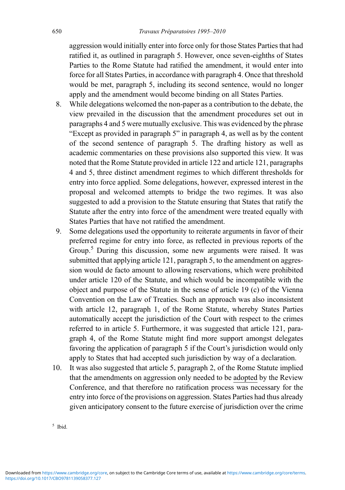aggression would initially enter into force only for those States Parties that had ratified it, as outlined in paragraph 5. However, once seven-eighths of States Parties to the Rome Statute had ratified the amendment, it would enter into force for all States Parties, in accordance with paragraph 4. Once that threshold would be met, paragraph 5, including its second sentence, would no longer apply and the amendment would become binding on all States Parties.

- 8. While delegations welcomed the non-paper as a contribution to the debate, the view prevailed in the discussion that the amendment procedures set out in paragraphs 4 and 5 were mutually exclusive. This was evidenced by the phrase "Except as provided in paragraph 5" in paragraph 4, as well as by the content of the second sentence of paragraph 5. The drafting history as well as academic commentaries on these provisions also supported this view. It was noted that the Rome Statute provided in article 122 and article 121, paragraphs 4 and 5, three distinct amendment regimes to which different thresholds for entry into force applied. Some delegations, however, expressed interest in the proposal and welcomed attempts to bridge the two regimes. It was also suggested to add a provision to the Statute ensuring that States that ratify the Statute after the entry into force of the amendment were treated equally with States Parties that have not ratified the amendment.
- 9. Some delegations used the opportunity to reiterate arguments in favor of their preferred regime for entry into force, as reflected in previous reports of the Group.<sup>5</sup> During this discussion, some new arguments were raised. It was submitted that applying article 121, paragraph 5, to the amendment on aggression would de facto amount to allowing reservations, which were prohibited under article 120 of the Statute, and which would be incompatible with the object and purpose of the Statute in the sense of article 19 (c) of the Vienna Convention on the Law of Treaties. Such an approach was also inconsistent with article 12, paragraph 1, of the Rome Statute, whereby States Parties automatically accept the jurisdiction of the Court with respect to the crimes referred to in article 5. Furthermore, it was suggested that article 121, paragraph 4, of the Rome Statute might find more support amongst delegates favoring the application of paragraph 5 if the Court's jurisdiction would only apply to States that had accepted such jurisdiction by way of a declaration.
- 10. It was also suggested that article 5, paragraph 2, of the Rome Statute implied that the amendments on aggression only needed to be adopted by the Review Conference, and that therefore no ratification process was necessary for the entry into force of the provisions on aggression. States Parties had thus already given anticipatory consent to the future exercise of jurisdiction over the crime

5 Ibid.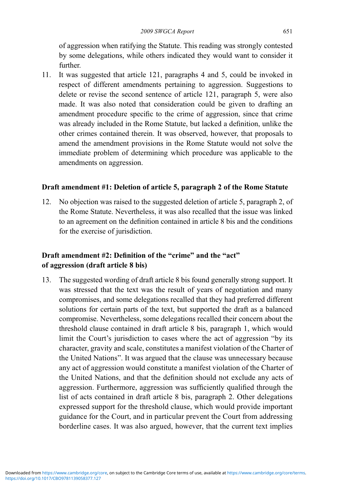of aggression when ratifying the Statute. This reading was strongly contested by some delegations, while others indicated they would want to consider it further.

11. It was suggested that article 121, paragraphs 4 and 5, could be invoked in respect of different amendments pertaining to aggression. Suggestions to delete or revise the second sentence of article 121, paragraph 5, were also made. It was also noted that consideration could be given to drafting an amendment procedure specific to the crime of aggression, since that crime was already included in the Rome Statute, but lacked a definition, unlike the other crimes contained therein. It was observed, however, that proposals to amend the amendment provisions in the Rome Statute would not solve the immediate problem of determining which procedure was applicable to the amendments on aggression.

### Draft amendment #1: Deletion of article 5, paragraph 2 of the Rome Statute

12. No objection was raised to the suggested deletion of article 5, paragraph 2, of the Rome Statute. Nevertheless, it was also recalled that the issue was linked to an agreement on the definition contained in article 8 bis and the conditions for the exercise of jurisdiction.

# Draft amendment #2: Definition of the "crime" and the "act" of aggression (draft article 8 bis)

13. The suggested wording of draft article 8 bis found generally strong support. It was stressed that the text was the result of years of negotiation and many compromises, and some delegations recalled that they had preferred different solutions for certain parts of the text, but supported the draft as a balanced compromise. Nevertheless, some delegations recalled their concern about the threshold clause contained in draft article 8 bis, paragraph 1, which would limit the Court's jurisdiction to cases where the act of aggression "by its character, gravity and scale, constitutes a manifest violation of the Charter of the United Nations". It was argued that the clause was unnecessary because any act of aggression would constitute a manifest violation of the Charter of the United Nations, and that the definition should not exclude any acts of aggression. Furthermore, aggression was sufficiently qualified through the list of acts contained in draft article 8 bis, paragraph 2. Other delegations expressed support for the threshold clause, which would provide important guidance for the Court, and in particular prevent the Court from addressing borderline cases. It was also argued, however, that the current text implies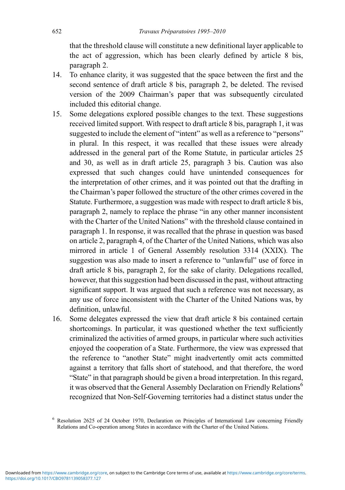that the threshold clause will constitute a new definitional layer applicable to the act of aggression, which has been clearly defined by article 8 bis, paragraph 2.

- 14. To enhance clarity, it was suggested that the space between the first and the second sentence of draft article 8 bis, paragraph 2, be deleted. The revised version of the 2009 Chairman's paper that was subsequently circulated included this editorial change.
- 15. Some delegations explored possible changes to the text. These suggestions received limited support. With respect to draft article 8 bis, paragraph 1, it was suggested to include the element of "intent" as well as a reference to "persons" in plural. In this respect, it was recalled that these issues were already addressed in the general part of the Rome Statute, in particular articles 25 and 30, as well as in draft article 25, paragraph 3 bis. Caution was also expressed that such changes could have unintended consequences for the interpretation of other crimes, and it was pointed out that the drafting in the Chairman's paper followed the structure of the other crimes covered in the Statute. Furthermore, a suggestion was made with respect to draft article 8 bis, paragraph 2, namely to replace the phrase "in any other manner inconsistent with the Charter of the United Nations" with the threshold clause contained in paragraph 1. In response, it was recalled that the phrase in question was based on article 2, paragraph 4, of the Charter of the United Nations, which was also mirrored in article 1 of General Assembly resolution 3314 (XXIX). The suggestion was also made to insert a reference to "unlawful" use of force in draft article 8 bis, paragraph 2, for the sake of clarity. Delegations recalled, however, that this suggestion had been discussed in the past, without attracting significant support. It was argued that such a reference was not necessary, as any use of force inconsistent with the Charter of the United Nations was, by definition, unlawful.
- 16. Some delegates expressed the view that draft article 8 bis contained certain shortcomings. In particular, it was questioned whether the text sufficiently criminalized the activities of armed groups, in particular where such activities enjoyed the cooperation of a State. Furthermore, the view was expressed that the reference to "another State" might inadvertently omit acts committed against a territory that falls short of statehood, and that therefore, the word "State" in that paragraph should be given a broad interpretation. In this regard, it was observed that the General Assembly Declaration on Friendly Relations<sup>6</sup> recognized that Non-Self-Governing territories had a distinct status under the

<sup>6</sup> Resolution 2625 of 24 October 1970, Declaration on Principles of International Law concerning Friendly Relations and Co-operation among States in accordance with the Charter of the United Nations.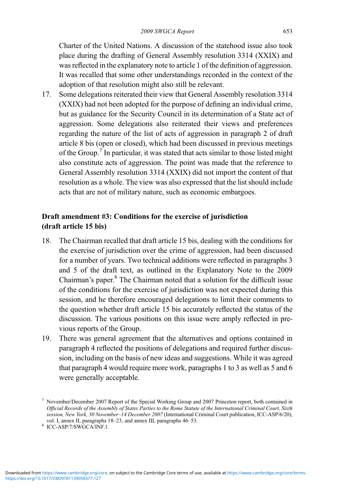Charter of the United Nations. A discussion of the statehood issue also took place during the drafting of General Assembly resolution 3314 (XXIX) and was reflected in the explanatory note to article 1 of the definition of aggression. It was recalled that some other understandings recorded in the context of the adoption of that resolution might also still be relevant.

17. Some delegations reiterated their view that General Assembly resolution 3314 (XXIX) had not been adopted for the purpose of defining an individual crime, but as guidance for the Security Council in its determination of a State act of aggression. Some delegations also reiterated their views and preferences regarding the nature of the list of acts of aggression in paragraph 2 of draft article 8 bis (open or closed), which had been discussed in previous meetings of the Group.<sup>7</sup> In particular, it was stated that acts similar to those listed might also constitute acts of aggression. The point was made that the reference to General Assembly resolution 3314 (XXIX) did not import the content of that resolution as a whole. The view was also expressed that the list should include acts that are not of military nature, such as economic embargoes.

# Draft amendment #3: Conditions for the exercise of jurisdiction (draft article 15 bis)

- 18. The Chairman recalled that draft article 15 bis, dealing with the conditions for the exercise of jurisdiction over the crime of aggression, had been discussed for a number of years. Two technical additions were reflected in paragraphs 3 and 5 of the draft text, as outlined in the Explanatory Note to the 2009 Chairman's paper.<sup>8</sup> The Chairman noted that a solution for the difficult issue of the conditions for the exercise of jurisdiction was not expected during this session, and he therefore encouraged delegations to limit their comments to the question whether draft article 15 bis accurately reflected the status of the discussion. The various positions on this issue were amply reflected in previous reports of the Group.
- 19. There was general agreement that the alternatives and options contained in paragraph 4 reflected the positions of delegations and required further discussion, including on the basis of new ideas and suggestions. While it was agreed that paragraph 4 would require more work, paragraphs 1 to 3 as well as 5 and 6 were generally acceptable.

<sup>7</sup> November/December 2007 Report of the Special Working Group and 2007 Princeton report, both contained in Official Records of the Assembly of States Parties to the Rome Statute of the International Criminal Court, Sixth session, New York, 30 November–14 December 2007 (International Criminal Court publication, ICC-ASP/6/20), vol. I, annex II, paragraphs 18–23, and annex III, paragraphs 46–53.

<sup>8</sup> ICC-ASP/7/SWGCA/INF.1.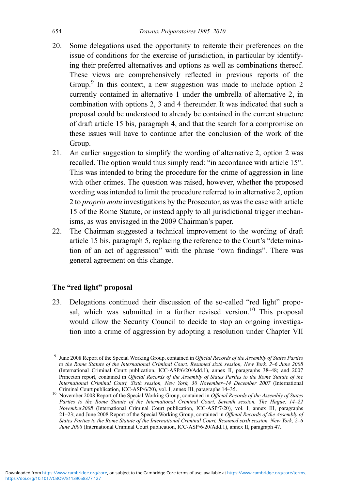- 20. Some delegations used the opportunity to reiterate their preferences on the issue of conditions for the exercise of jurisdiction, in particular by identifying their preferred alternatives and options as well as combinations thereof. These views are comprehensively reflected in previous reports of the Group.<sup>9</sup> In this context, a new suggestion was made to include option 2 currently contained in alternative 1 under the umbrella of alternative 2, in combination with options 2, 3 and 4 thereunder. It was indicated that such a proposal could be understood to already be contained in the current structure of draft article 15 bis, paragraph 4, and that the search for a compromise on these issues will have to continue after the conclusion of the work of the Group.
- 21. An earlier suggestion to simplify the wording of alternative 2, option 2 was recalled. The option would thus simply read: "in accordance with article 15". This was intended to bring the procedure for the crime of aggression in line with other crimes. The question was raised, however, whether the proposed wording was intended to limit the procedure referred to in alternative 2, option 2 to proprio motu investigations by the Prosecutor, as was the case with article 15 of the Rome Statute, or instead apply to all jurisdictional trigger mechanisms, as was envisaged in the 2009 Chairman's paper.
- 22. The Chairman suggested a technical improvement to the wording of draft article 15 bis, paragraph 5, replacing the reference to the Court's "determination of an act of aggression" with the phrase "own findings". There was general agreement on this change.

#### The "red light" proposal

23. Delegations continued their discussion of the so-called "red light" proposal, which was submitted in a further revised version.<sup>10</sup> This proposal would allow the Security Council to decide to stop an ongoing investigation into a crime of aggression by adopting a resolution under Chapter VII

<sup>&</sup>lt;sup>9</sup> June 2008 Report of the Special Working Group, contained in Official Records of the Assembly of States Parties to the Rome Statute of the International Criminal Court, Resumed sixth session, New York, 2–6 June 2008 (International Criminal Court publication, ICC-ASP/6/20/Add.1), annex II, paragraphs 38–48; and 2007 Princeton report, contained in Official Records of the Assembly of States Parties to the Rome Statute of the International Criminal Court, Sixth session, New York, 30 November–14 December 2007 (International Criminal Court publication, ICC-ASP/6/20), vol. I, annex III, paragraphs 14–35.

<sup>&</sup>lt;sup>10</sup> November 2008 Report of the Special Working Group, contained in *Official Records of the Assembly of States* Parties to the Rome Statute of the International Criminal Court, Seventh session, The Hague, 14-22 November2008 (International Criminal Court publication, ICC-ASP/7/20), vol. I, annex III, paragraphs 21–23; and June 2008 Report of the Special Working Group, contained in Official Records of the Assembly of States Parties to the Rome Statute of the International Criminal Court, Resumed sixth session, New York, 2–6 June 2008 (International Criminal Court publication, ICC-ASP/6/20/Add.1), annex II, paragraph 47.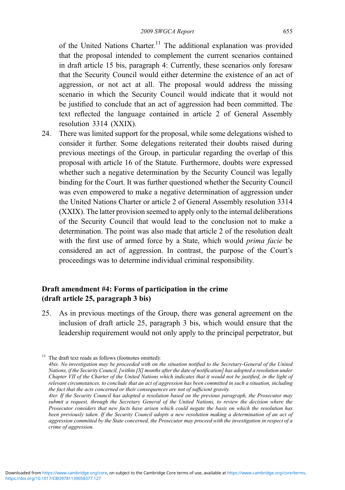of the United Nations Charter.<sup>11</sup> The additional explanation was provided that the proposal intended to complement the current scenarios contained in draft article 15 bis, paragraph 4: Currently, these scenarios only foresaw that the Security Council would either determine the existence of an act of aggression, or not act at all. The proposal would address the missing scenario in which the Security Council would indicate that it would not be justified to conclude that an act of aggression had been committed. The text reflected the language contained in article 2 of General Assembly resolution 3314 (XXIX).

24. There was limited support for the proposal, while some delegations wished to consider it further. Some delegations reiterated their doubts raised during previous meetings of the Group, in particular regarding the overlap of this proposal with article 16 of the Statute. Furthermore, doubts were expressed whether such a negative determination by the Security Council was legally binding for the Court. It was further questioned whether the Security Council was even empowered to make a negative determination of aggression under the United Nations Charter or article 2 of General Assembly resolution 3314 (XXIX). The latter provision seemed to apply only to the internal deliberations of the Security Council that would lead to the conclusion not to make a determination. The point was also made that article 2 of the resolution dealt with the first use of armed force by a State, which would *prima facie* be considered an act of aggression. In contrast, the purpose of the Court's proceedings was to determine individual criminal responsibility.

# Draft amendment #4: Forms of participation in the crime (draft article 25, paragraph 3 bis)

25. As in previous meetings of the Group, there was general agreement on the inclusion of draft article 25, paragraph 3 bis, which would ensure that the leadership requirement would not only apply to the principal perpetrator, but

 $11$  The draft text reads as follows (footnotes omitted):

<sup>4</sup>bis. No investigation may be proceeded with on the situation notified to the Secretary-General of the United Nations, if the Security Council, [within  $[X]$  months after the date of notification] has adopted a resolution under Chapter VII of the Charter of the United Nations which indicates that it would not be justified, in the light of relevant circumstances, to conclude that an act of aggression has been committed in such a situation, including the fact that the acts concerned or their consequences are not of sufficient gravity.

<sup>4</sup>ter. If the Security Council has adopted a resolution based on the previous paragraph, the Prosecutor may submit a request, through the Secretary General of the United Nations, to review the decision where the Prosecutor considers that new facts have arisen which could negate the basis on which the resolution has been previously taken. If the Security Council adopts a new resolution making a determination of an act of aggression committed by the State concerned, the Prosecutor may proceed with the investigation in respect of  $\tilde{a}$ crime of aggression.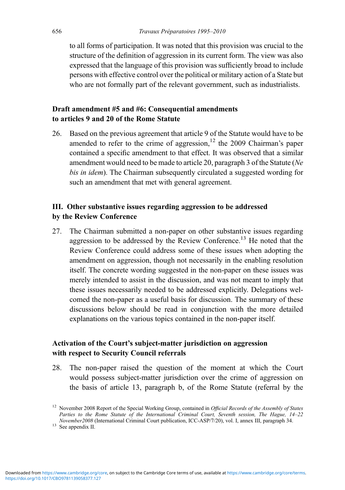to all forms of participation. It was noted that this provision was crucial to the structure of the definition of aggression in its current form. The view was also expressed that the language of this provision was sufficiently broad to include persons with effective control over the political or military action of a State but who are not formally part of the relevant government, such as industrialists.

### Draft amendment #5 and #6: Consequential amendments to articles 9 and 20 of the Rome Statute

26. Based on the previous agreement that article 9 of the Statute would have to be amended to refer to the crime of aggression, $12$  the 2009 Chairman's paper contained a specific amendment to that effect. It was observed that a similar amendment would need to be made to article 20, paragraph 3 of the Statute (Ne bis in idem). The Chairman subsequently circulated a suggested wording for such an amendment that met with general agreement.

## III. Other substantive issues regarding aggression to be addressed by the Review Conference

27. The Chairman submitted a non-paper on other substantive issues regarding aggression to be addressed by the Review Conference.<sup>13</sup> He noted that the Review Conference could address some of these issues when adopting the amendment on aggression, though not necessarily in the enabling resolution itself. The concrete wording suggested in the non-paper on these issues was merely intended to assist in the discussion, and was not meant to imply that these issues necessarily needed to be addressed explicitly. Delegations welcomed the non-paper as a useful basis for discussion. The summary of these discussions below should be read in conjunction with the more detailed explanations on the various topics contained in the non-paper itself.

## Activation of the Court's subject-matter jurisdiction on aggression with respect to Security Council referrals

28. The non-paper raised the question of the moment at which the Court would possess subject-matter jurisdiction over the crime of aggression on the basis of article 13, paragraph b, of the Rome Statute (referral by the

<sup>&</sup>lt;sup>12</sup> November 2008 Report of the Special Working Group, contained in Official Records of the Assembly of States Parties to the Rome Statute of the International Criminal Court, Seventh session, The Hague, 14–22 November2008 (International Criminal Court publication, ICC-ASP/7/20), vol. I, annex III, paragraph 34.

<sup>&</sup>lt;sup>13</sup> See appendix II.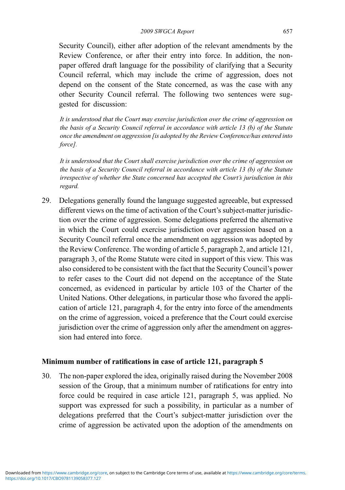Security Council), either after adoption of the relevant amendments by the Review Conference, or after their entry into force. In addition, the nonpaper offered draft language for the possibility of clarifying that a Security Council referral, which may include the crime of aggression, does not depend on the consent of the State concerned, as was the case with any other Security Council referral. The following two sentences were suggested for discussion:

It is understood that the Court may exercise jurisdiction over the crime of aggression on the basis of a Security Council referral in accordance with article 13 (b) of the Statute once the amendment on aggression [is adopted by the Review Conference/has entered into force].

It is understood that the Court shall exercise jurisdiction over the crime of aggression on the basis of a Security Council referral in accordance with article 13 (b) of the Statute irrespective of whether the State concerned has accepted the Court's jurisdiction in this regard.

29. Delegations generally found the language suggested agreeable, but expressed different views on the time of activation of the Court's subject-matter jurisdiction over the crime of aggression. Some delegations preferred the alternative in which the Court could exercise jurisdiction over aggression based on a Security Council referral once the amendment on aggression was adopted by the Review Conference. The wording of article 5, paragraph 2, and article 121, paragraph 3, of the Rome Statute were cited in support of this view. This was also considered to be consistent with the fact that the Security Council's power to refer cases to the Court did not depend on the acceptance of the State concerned, as evidenced in particular by article 103 of the Charter of the United Nations. Other delegations, in particular those who favored the application of article 121, paragraph 4, for the entry into force of the amendments on the crime of aggression, voiced a preference that the Court could exercise jurisdiction over the crime of aggression only after the amendment on aggression had entered into force.

#### Minimum number of ratifications in case of article 121, paragraph 5

30. The non-paper explored the idea, originally raised during the November 2008 session of the Group, that a minimum number of ratifications for entry into force could be required in case article 121, paragraph 5, was applied. No support was expressed for such a possibility, in particular as a number of delegations preferred that the Court's subject-matter jurisdiction over the crime of aggression be activated upon the adoption of the amendments on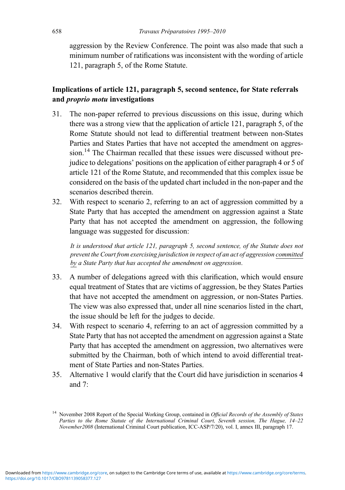aggression by the Review Conference. The point was also made that such a minimum number of ratifications was inconsistent with the wording of article 121, paragraph 5, of the Rome Statute.

# Implications of article 121, paragraph 5, second sentence, for State referrals and proprio motu investigations

- 31. The non-paper referred to previous discussions on this issue, during which there was a strong view that the application of article 121, paragraph 5, of the Rome Statute should not lead to differential treatment between non-States Parties and States Parties that have not accepted the amendment on aggression.<sup>14</sup> The Chairman recalled that these issues were discussed without prejudice to delegations' positions on the application of either paragraph 4 or 5 of article 121 of the Rome Statute, and recommended that this complex issue be considered on the basis of the updated chart included in the non-paper and the scenarios described therein.
- 32. With respect to scenario 2, referring to an act of aggression committed by a State Party that has accepted the amendment on aggression against a State Party that has not accepted the amendment on aggression, the following language was suggested for discussion:

It is understood that article 121, paragraph 5, second sentence, of the Statute does not prevent the Court from exercising jurisdiction in respect of an act of aggression committed by a State Party that has accepted the amendment on aggression.

- 33. A number of delegations agreed with this clarification, which would ensure equal treatment of States that are victims of aggression, be they States Parties that have not accepted the amendment on aggression, or non-States Parties. The view was also expressed that, under all nine scenarios listed in the chart, the issue should be left for the judges to decide.
- 34. With respect to scenario 4, referring to an act of aggression committed by a State Party that has not accepted the amendment on aggression against a State Party that has accepted the amendment on aggression, two alternatives were submitted by the Chairman, both of which intend to avoid differential treatment of State Parties and non-States Parties.
- 35. Alternative 1 would clarify that the Court did have jurisdiction in scenarios 4 and 7:

<sup>&</sup>lt;sup>14</sup> November 2008 Report of the Special Working Group, contained in *Official Records of the Assembly of States* Parties to the Rome Statute of the International Criminal Court, Seventh session, The Hague, 14–22 November2008 (International Criminal Court publication, ICC-ASP/7/20), vol. I, annex III, paragraph 17.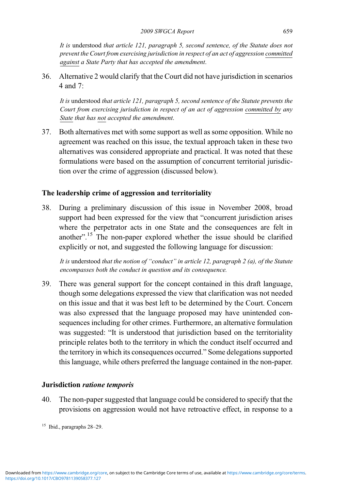It is understood that article 121, paragraph 5, second sentence, of the Statute does not prevent the Court from exercising jurisdiction in respect of an act of aggression committed against a State Party that has accepted the amendment.

36. Alternative 2 would clarify that the Court did not have jurisdiction in scenarios 4 and 7:

It is understood that article 121, paragraph 5, second sentence of the Statute prevents the Court from exercising jurisdiction in respect of an act of aggression committed by any State that has not accepted the amendment.

37. Both alternatives met with some support as well as some opposition. While no agreement was reached on this issue, the textual approach taken in these two alternatives was considered appropriate and practical. It was noted that these formulations were based on the assumption of concurrent territorial jurisdiction over the crime of aggression (discussed below).

# The leadership crime of aggression and territoriality

38. During a preliminary discussion of this issue in November 2008, broad support had been expressed for the view that "concurrent jurisdiction arises where the perpetrator acts in one State and the consequences are felt in another".<sup>15</sup> The non-paper explored whether the issue should be clarified explicitly or not, and suggested the following language for discussion:

It is understood that the notion of "conduct" in article 12, paragraph 2 (a), of the Statute encompasses both the conduct in question and its consequence.

39. There was general support for the concept contained in this draft language, though some delegations expressed the view that clarification was not needed on this issue and that it was best left to be determined by the Court. Concern was also expressed that the language proposed may have unintended consequences including for other crimes. Furthermore, an alternative formulation was suggested: "It is understood that jurisdiction based on the territoriality principle relates both to the territory in which the conduct itself occurred and the territory in which its consequences occurred." Some delegations supported this language, while others preferred the language contained in the non-paper.

### Jurisdiction ratione temporis

40. The non-paper suggested that language could be considered to specify that the provisions on aggression would not have retroactive effect, in response to a

 $15$  Ibid., paragraphs 28–29.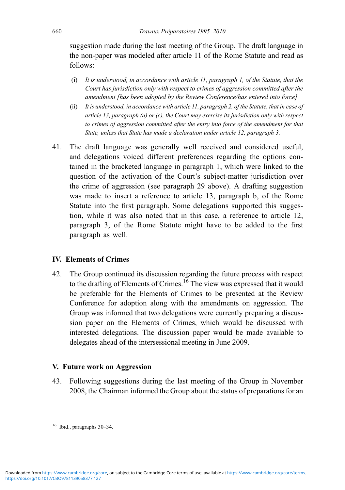suggestion made during the last meeting of the Group. The draft language in the non-paper was modeled after article 11 of the Rome Statute and read as follows:

- (i) It is understood, in accordance with article 11, paragraph 1, of the Statute, that the Court has jurisdiction only with respect to crimes of aggression committed after the amendment [has been adopted by the Review Conference/has entered into force].
- (ii) It is understood, in accordance with article 11, paragraph 2, of the Statute, that in case of article 13, paragraph (a) or (c), the Court may exercise its jurisdiction only with respect to crimes of aggression committed after the entry into force of the amendment for that State, unless that State has made a declaration under article 12, paragraph 3.
- 41. The draft language was generally well received and considered useful, and delegations voiced different preferences regarding the options contained in the bracketed language in paragraph 1, which were linked to the question of the activation of the Court's subject-matter jurisdiction over the crime of aggression (see paragraph 29 above). A drafting suggestion was made to insert a reference to article 13, paragraph b, of the Rome Statute into the first paragraph. Some delegations supported this suggestion, while it was also noted that in this case, a reference to article 12, paragraph 3, of the Rome Statute might have to be added to the first paragraph as well.

#### IV. Elements of Crimes

42. The Group continued its discussion regarding the future process with respect to the drafting of Elements of Crimes.<sup>16</sup> The view was expressed that it would be preferable for the Elements of Crimes to be presented at the Review Conference for adoption along with the amendments on aggression. The Group was informed that two delegations were currently preparing a discussion paper on the Elements of Crimes, which would be discussed with interested delegations. The discussion paper would be made available to delegates ahead of the intersessional meeting in June 2009.

#### V. Future work on Aggression

43. Following suggestions during the last meeting of the Group in November 2008, the Chairman informed the Group about the status of preparations for an

<sup>16</sup> Ibid., paragraphs 30–34.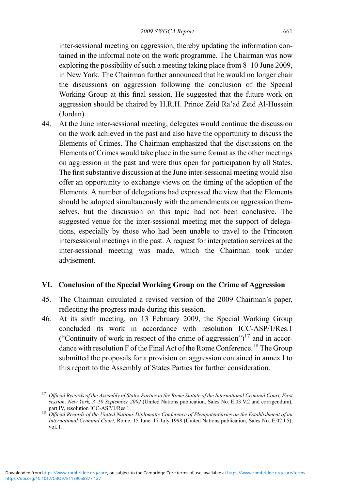inter-sessional meeting on aggression, thereby updating the information contained in the informal note on the work programme. The Chairman was now exploring the possibility of such a meeting taking place from 8–10 June 2009, in New York. The Chairman further announced that he would no longer chair the discussions on aggression following the conclusion of the Special Working Group at this final session. He suggested that the future work on aggression should be chaired by H.R.H. Prince Zeid Ra'ad Zeid Al-Hussein (Jordan).

44. At the June inter-sessional meeting, delegates would continue the discussion on the work achieved in the past and also have the opportunity to discuss the Elements of Crimes. The Chairman emphasized that the discussions on the Elements of Crimes would take place in the same format as the other meetings on aggression in the past and were thus open for participation by all States. The first substantive discussion at the June inter-sessional meeting would also offer an opportunity to exchange views on the timing of the adoption of the Elements. A number of delegations had expressed the view that the Elements should be adopted simultaneously with the amendments on aggression themselves, but the discussion on this topic had not been conclusive. The suggested venue for the inter-sessional meeting met the support of delegations, especially by those who had been unable to travel to the Princeton intersessional meetings in the past. A request for interpretation services at the inter-sessional meeting was made, which the Chairman took under advisement.

#### VI. Conclusion of the Special Working Group on the Crime of Aggression

- 45. The Chairman circulated a revised version of the 2009 Chairman's paper, reflecting the progress made during this session.
- 46. At its sixth meeting, on 13 February 2009, the Special Working Group concluded its work in accordance with resolution ICC-ASP/1/Res.1 ("Continuity of work in respect of the crime of aggression") $17$  and in accordance with resolution F of the Final Act of the Rome Conference.<sup>18</sup> The Group submitted the proposals for a provision on aggression contained in annex I to this report to the Assembly of States Parties for further consideration.

 $17$  Official Records of the Assembly of States Parties to the Rome Statute of the International Criminal Court, First session, New York, 3–10 September 2002 (United Nations publication, Sales No. E.03.V.2 and corrigendum),

part IV, resolution ICC-ASP/1/Res.1.<br><sup>18</sup> Official Records of the United Nations Diplomatic Conference of Plenipotentiaries on the Establishment of an International Criminal Court, Rome, 15 June–17 July 1998 (United Nations publication, Sales No. E.02.I.5), vol. I.